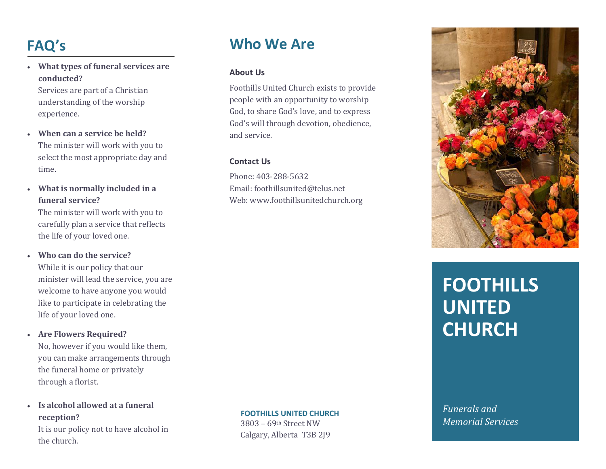# **FAQ's**

• **What types of funeral services are conducted?**

Services are part of a Christian understanding of the worship experience.

- **When can a service be held?**  The minister will work with you to select the most appropriate day and time.
- **What is normally included in a funeral service?**

The minister will work with you to carefully plan a service that reflects the life of your loved one.

• **Who can do the service?** 

While it is our policy that our minister will lead the service, you are welcome to have anyone you would like to participate in celebrating the life of your loved one.

• **Are Flowers Required?** 

No, however if you would like them, you can make arrangements through the funeral home or privately through a florist.

• **Is alcohol allowed at a funeral reception?** 

It is our policy not to have alcohol in the church.

# **Who We Are**

#### **About Us**

Foothills United Church exists to provide people with an opportunity to worship God, to share God's love, and to express God's will through devotion, obedience, and service.

#### **Contact Us**

Phone: 403-288-5632 Email: foothillsunited@telus.net Web: www.foothillsunitedchurch.org



# **FOOTHILLS UNITED CHURCH**

*Funerals and Memorial Services*

#### **FOOTHILLS UNITED CHURCH**

3803 – 69th Street NW Calgary, Alberta T3B 2J9